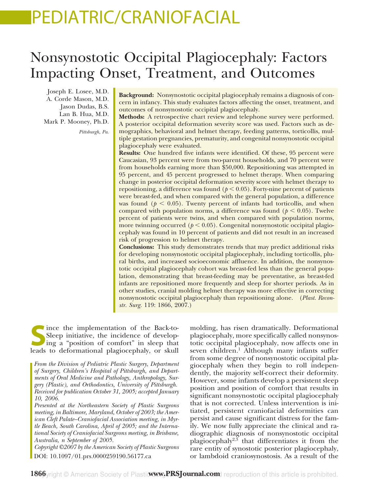# PEDIATRIC/CRANIOFACIAL

# Nonsynostotic Occipital Plagiocephaly: Factors Impacting Onset, Treatment, and Outcomes

Joseph E. Losee, M.D. A. Corde Mason, M.D. Jason Dudas, B.S. Lan B. Hua, M.D. Mark P. Mooney, Ph.D.

*Pittsburgh, Pa.*

**Background:** Nonsynostotic occipital plagiocephaly remains a diagnosis of concern in infancy. This study evaluates factors affecting the onset, treatment, and outcomes of nonsynostotic occipital plagiocephaly.

**Methods:** A retrospective chart review and telephone survey were performed. A posterior occipital deformation severity score was used. Factors such as demographics, behavioral and helmet therapy, feeding patterns, torticollis, multiple gestation pregnancies, prematurity, and congenital nonsynostotic occipital plagiocephaly were evaluated.

**Results:** One hundred five infants were identified. Of these, 95 percent were Caucasian, 93 percent were from two-parent households, and 70 percent were from households earning more than \$50,000. Repositioning was attempted in 95 percent, and 45 percent progressed to helmet therapy. When comparing change in posterior occipital deformation severity score with helmet therapy to repositioning, a difference was found ( $p < 0.05$ ). Forty-nine percent of patients were breast-fed, and when compared with the general population, a difference was found  $(p < 0.05)$ . Twenty percent of infants had torticollis, and when compared with population norms, a difference was found ( $p < 0.05$ ). Twelve percent of patients were twins, and when compared with population norms, more twinning occurred  $(p < 0.05)$ . Congenital nonsynostotic occipital plagiocephaly was found in 10 percent of patients and did not result in an increased risk of progression to helmet therapy.

**Conclusions:** This study demonstrates trends that may predict additional risks for developing nonsynostotic occipital plagiocephaly, including torticollis, plural births, and increased socioeconomic affluence. In addition, the nonsynostotic occipital plagiocephaly cohort was breast-fed less than the general population, demonstrating that breast-feeding may be preventative, as breast-fed infants are repositioned more frequently and sleep for shorter periods. As in other studies, cranial molding helmet therapy was more effective in correcting nonsynostotic occipital plagiocephaly than repositioning alone. (*Plast. Reconstr. Surg.* 119: 1866, 2007.)

**S**ince the implementation of the Back-to-Sleep initiative, the incidence of developing a "position of comfort" in sleep that leads to deformational plagiocephaly, or skull

*Presented at the Northeastern Society of Plastic Surgeons meeting, in Baltimore, Maryland, October of 2003; the American Cleft Palate–Craniofacial Association meeting, in Myrtle Beach, South Carolina, April of 2005; and the International Society of Craniofacial Surgeons meeting, in Brisbane, Australia, n September of 2005.*

*Copyright ©2007 by the American Society of Plastic Surgeons* DOI: 10.1097/01.prs.0000259190.56177.ca

molding, has risen dramatically. Deformational plagiocephaly, more specifically called nonsynostotic occipital plagiocephaly, now affects one in seven children.<sup>1</sup> Although many infants suffer from some degree of nonsynostotic occipital plagiocephaly when they begin to roll independently, the majority self-correct their deformity. However, some infants develop a persistent sleep position and position of comfort that results in significant nonsynostotic occipital plagiocephaly that is not corrected. Unless intervention is initiated, persistent craniofacial deformities can persist and cause significant distress for the family. We now fully appreciate the clinical and radiographic diagnosis of nonsynostotic occipital plagiocephaly<sup>2,3</sup> that differentiates it from the rare entity of synostotic posterior plagiocephaly, or lambdoid craniosynostosis. As a result of the

*From the Division of Pediatric Plastic Surgery, Department of Surgery, Children's Hospital of Pittsburgh, and Departments of Oral Medicine and Pathology, Anthropology, Surgery (Plastic), and Orthodontics, University of Pittsburgh. Received for publication October 31, 2005; accepted January 10, 2006.*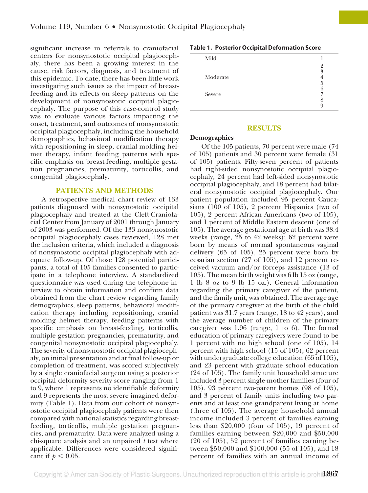significant increase in referrals to craniofacial centers for nonsynostotic occipital plagiocephaly, there has been a growing interest in the cause, risk factors, diagnosis, and treatment of this epidemic. To date, there has been little work investigating such issues as the impact of breastfeeding and its effects on sleep patterns on the development of nonsynostotic occipital plagiocephaly. The purpose of this case-control study was to evaluate various factors impacting the onset, treatment, and outcomes of nonsynostotic occipital plagiocephaly, including the household demographics, behavioral modification therapy with repositioning in sleep, cranial molding helmet therapy, infant feeding patterns with specific emphasis on breast-feeding, multiple gestation pregnancies, prematurity, torticollis, and congenital plagiocephaly.

#### **PATIENTS AND METHODS**

A retrospective medical chart review of 133 patients diagnosed with nonsynostotic occipital plagiocephaly and treated at the Cleft-Craniofacial Center from January of 2001 through January of 2003 was performed. Of the 133 nonsynostotic occipital plagiocephaly cases reviewed, 128 met the inclusion criteria, which included a diagnosis of nonsynostotic occipital plagiocephaly with adequate follow-up. Of those 128 potential participants, a total of 105 families consented to participate in a telephone interview. A standardized questionnaire was used during the telephone interview to obtain information and confirm data obtained from the chart review regarding family demographics, sleep patterns, behavioral modification therapy including repositioning, cranial molding helmet therapy, feeding patterns with specific emphasis on breast-feeding, torticollis, multiple gestation pregnancies, prematurity, and congenital nonsynostotic occipital plagiocephaly. The severity of nonsynostotic occipital plagiocephaly, on initial presentation and at final follow-up or completion of treatment, was scored subjectively by a single craniofacial surgeon using a posterior occipital deformity severity score ranging from 1 to 9, where 1 represents no identifiable deformity and 9 represents the most severe imagined deformity (Table 1). Data from our cohort of nonsynostotic occipital plagiocephaly patients were then compared with national statistics regarding breastfeeding, torticollis, multiple gestation pregnancies, and prematurity. Data were analyzed using a chi-square analysis and an unpaired *t* test where applicable. Differences were considered significant if  $p < 0.05$ .

| <b>Table 1. Posterior Occipital Deformation Score</b> |   |
|-------------------------------------------------------|---|
| Mild                                                  |   |
|                                                       | 2 |
|                                                       | 3 |
| Moderate                                              |   |
|                                                       | 5 |
|                                                       |   |
| <b>Severe</b>                                         |   |
|                                                       |   |
|                                                       |   |

#### **RESULTS**

## **Demographics**

Of the 105 patients, 70 percent were male (74 of 105) patients and 30 percent were female (31 of 105) patients. Fifty-seven percent of patients had right-sided nonsynostotic occipital plagiocephaly, 24 percent had left-sided nonsynostotic occipital plagiocephaly, and 18 percent had bilateral nonsynostotic occipital plagiocephaly. Our patient population included 95 percent Caucasians (100 of 105), 2 percent Hispanics (two of 105), 2 percent African Americans (two of 105), and 1 percent of Middle Eastern descent (one of 105). The average gestational age at birth was 38.4 weeks (range, 25 to 42 weeks); 62 percent were born by means of normal spontaneous vaginal delivery (65 of 105), 25 percent were born by cesarian section (27 of 105), and 12 percent received vacuum and/or forceps assistance (13 of 105). The mean birth weight was 6 lb 15 oz (range, 1 lb 8 oz to 9 lb 15 oz.). General information regarding the primary caregiver of the patient, and the family unit, was obtained. The average age of the primary caregiver at the birth of the child patient was 31.7 years (range, 18 to 42 years), and the average number of children of the primary caregiver was 1.96 (range, 1 to 6). The formal education of primary caregivers were found to be 1 percent with no high school (one of 105), 14 percent with high school (15 of 105), 62 percent with undergraduate college education (65 of 105), and 23 percent with graduate school education (24 of 105). The family unit household structure included 3 percent single-mother families (four of 105), 93 percent two-parent homes (98 of 105), and 3 percent of family units including two parents and at least one grandparent living at home (three of 105). The average household annual income included 3 percent of families earning less than \$20,000 (four of 105), 19 percent of families earning between \$20,000 and \$50,000 (20 of 105), 52 percent of families earning between \$50,000 and \$100,000 (55 of 105), and 18 percent of families with an annual income of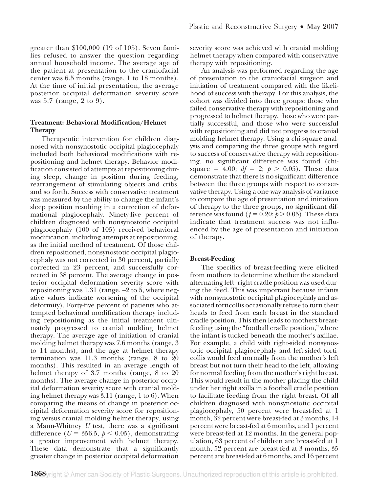greater than \$100,000 (19 of 105). Seven families refused to answer the question regarding annual household income. The average age of the patient at presentation to the craniofacial center was 6.5 months (range, 1 to 18 months). At the time of initial presentation, the average posterior occipital deformation severity score was 5.7 (range, 2 to 9).

## **Treatment: Behavioral Modification/Helmet Therapy**

Therapeutic intervention for children diagnosed with nonsynostotic occipital plagiocephaly included both behavioral modifications with repositioning and helmet therapy. Behavior modification consisted of attempts at repositioning during sleep, change in position during feeding, rearrangement of stimulating objects and cribs, and so forth. Success with conservative treatment was measured by the ability to change the infant's sleep position resulting in a correction of deformational plagiocephaly. Ninety-five percent of children diagnosed with nonsynostotic occipital plagiocephaly (100 of 105) received behavioral modification, including attempts at repositioning, as the initial method of treatment. Of those children repositioned, nonsynostotic occipital plagiocephaly was not corrected in 30 percent, partially corrected in 23 percent, and successfully corrected in 38 percent. The average change in posterior occipital deformation severity score with repositioning was 1.31 (range, –2 to 5, where negative values indicate worsening of the occipital deformity). Forty-five percent of patients who attempted behavioral modification therapy including repositioning as the initial treatment ultimately progressed to cranial molding helmet therapy. The average age of initiation of cranial molding helmet therapy was 7.6 months (range, 3 to 14 months), and the age at helmet therapy termination was 11.3 months (range, 8 to 20 months). This resulted in an average length of helmet therapy of 3.7 months (range, 8 to 20 months). The average change in posterior occipital deformation severity score with cranial molding helmet therapy was 3.11 (range, 1 to 6). When comparing the means of change in posterior occipital deformation severity score for repositioning versus cranial molding helmet therapy, using a Mann-Whitney *U* test, there was a significant difference ( $U = 356.5$ ,  $p < 0.05$ ), demonstrating a greater improvement with helmet therapy. These data demonstrate that a significantly greater change in posterior occipital deformation

severity score was achieved with cranial molding helmet therapy when compared with conservative therapy with repositioning.

An analysis was performed regarding the age of presentation to the craniofacial surgeon and initiation of treatment compared with the likelihood of success with therapy. For this analysis, the cohort was divided into three groups: those who failed conservative therapy with repositioning and progressed to helmet therapy, those who were partially successful, and those who were successful with repositioning and did not progress to cranial molding helmet therapy. Using a chi-square analysis and comparing the three groups with regard to success of conservative therapy with repositioning, no significant difference was found (chisquare = 4.00;  $df = 2$ ;  $p > 0.05$ ). These data demonstrate that there is no significant difference between the three groups with respect to conservative therapy. Using a one-way analysis of variance to compare the age of presentation and initiation of therapy to the three groups, no significant difference was found  $(f = 0.20; p > 0.05)$ . These data indicate that treatment success was not influenced by the age of presentation and initiation of therapy.

## **Breast-Feeding**

The specifics of breast-feeding were elicited from mothers to determine whether the standard alternating left–right cradle position was used during the feed. This was important because infants with nonsynostotic occipital plagiocephaly and associated torticollis occasionally refuse to turn their heads to feed from each breast in the standard cradle position. This then leads to mothers breastfeeding using the "football cradle position," where the infant is tucked beneath the mother's axillae. For example, a child with right-sided nonsynostotic occipital plagiocephaly and left-sided torticollis would feed normally from the mother's left breast but not turn their head to the left, allowing for normal feeding from the mother's right breast. This would result in the mother placing the child under her right axilla in a football cradle position to facilitate feeding from the right breast. Of all children diagnosed with nonsynostotic occipital plagiocephaly, 50 percent were breast-fed at 1 month, 32 percent were breast-fed at 3 months, 14 percent were breast-fed at 6 months, and 1 percent were breast-fed at 12 months. In the general population, 63 percent of children are breast-fed at 1 month, 52 percent are breast-fed at 3 months, 35 percent are breast-fed at 6 months, and 16 percent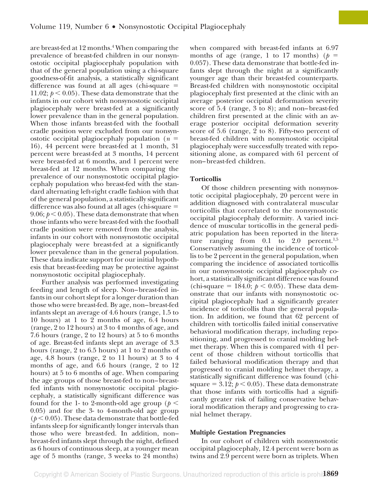are breast-fed at 12 months.<sup>4</sup> When comparing the prevalence of breast-fed children in our nonsynostotic occipital plagiocephaly population with that of the general population using a chi-square goodness-of-fit analysis, a statistically significant difference was found at all ages (chi-square  $=$ 11.02;  $p < 0.05$ ). These data demonstrate that the infants in our cohort with nonsynostotic occipital plagiocephaly were breast-fed at a significantly lower prevalence than in the general population. When those infants breast-fed with the football cradle position were excluded from our nonsynostotic occipital plagiocephaly population ( $n =$ 16), 44 percent were breast-fed at 1 month, 31 percent were breast-fed at 3 months, 14 percent were breast-fed at 6 months, and 1 percent were breast-fed at 12 months. When comparing the prevalence of our nonsynostotic occipital plagiocephaly population who breast-fed with the standard alternating left-right cradle fashion with that of the general population, a statistically significant difference was also found at all ages (chi-square  $=$ 9.06;  $p < 0.05$ ). These data demonstrate that when those infants who were breast-fed with the football cradle position were removed from the analysis, infants in our cohort with nonsynostotic occipital plagiocephaly were breast-fed at a significantly lower prevalence than in the general population. These data indicate support for our initial hypothesis that breast-feeding may be protective against nonsynostotic occipital plagiocephaly.

Further analysis was performed investigating feeding and length of sleep. Non– breast-fed infants in our cohort slept for a longer duration than those who were breast-fed. By age, non– breast-fed infants slept an average of 4.6 hours (range, 1.5 to 10 hours) at 1 to 2 months of age, 6.4 hours (range, 2 to 12 hours) at 3 to 4 months of age, and 7.6 hours (range, 2 to 12 hours) at 5 to 6 months of age. Breast-fed infants slept an average of 3.3 hours (range, 2 to 6.5 hours) at 1 to 2 months of age, 4.8 hours (range, 2 to 11 hours) at 3 to 4 months of age, and 6.6 hours (range, 2 to 12 hours) at 5 to 6 months of age. When comparing the age groups of those breast-fed to non– breastfed infants with nonsynostotic occipital plagiocephaly, a statistically significant difference was found for the 1- to 2-month-old age group ( $p <$ 0.05) and for the 3- to 4-month-old age group  $(p<0.05)$ . These data demonstrate that bottle-fed infants sleep for significantly longer intervals than those who were breast-fed. In addition, non– breast-fed infants slept through the night, defined as 6 hours of continuous sleep, at a younger mean age of 5 months (range, 3 weeks to 24 months)

when compared with breast-fed infants at 6.97 months of age (range, 1 to 17 months) ( $p =$ 0.057). These data demonstrate that bottle-fed infants slept through the night at a significantly younger age than their breast-fed counterparts. Breast-fed children with nonsynostotic occipital plagiocephaly first presented at the clinic with an average posterior occipital deformation severity score of 5.4 (range, 3 to 8); and non– breast-fed children first presented at the clinic with an average posterior occipital deformation severity score of 5.6 (range, 2 to 8). Fifty-two percent of breast-fed children with nonsynostotic occipital plagiocephaly were successfully treated with repositioning alone, as compared with 61 percent of non– breast-fed children.

#### **Torticollis**

Of those children presenting with nonsynostotic occipital plagiocephaly, 20 percent were in addition diagnosed with contralateral muscular torticollis that correlated to the nonsynostotic occipital plagiocephaly deformity. A varied incidence of muscular torticollis in the general pediatric population has been reported in the literature ranging from  $0.1$  to  $2.0$  percent.<sup>1,5</sup> Conservatively assuming the incidence of torticollis to be 2 percent in the general population, when comparing the incidence of associated torticollis in our nonsynostotic occipital plagiocephaly cohort, a statistically significant difference was found (chi-square = 184.0;  $p < 0.05$ ). These data demonstrate that our infants with nonsynostotic occipital plagiocephaly had a significantly greater incidence of torticollis than the general population. In addition, we found that 62 percent of children with torticollis failed initial conservative behavioral modification therapy, including repositioning, and progressed to cranial molding helmet therapy. When this is compared with 41 percent of those children without torticollis that failed behavioral modification therapy and that progressed to cranial molding helmet therapy, a statistically significant difference was found (chisquare =  $3.12; p < 0.05$ ). These data demonstrate that those infants with torticollis had a significantly greater risk of failing conservative behavioral modification therapy and progressing to cranial helmet therapy.

#### **Multiple Gestation Pregnancies**

In our cohort of children with nonsynostotic occipital plagiocephaly, 12.4 percent were born as twins and 2.9 percent were born as triplets. When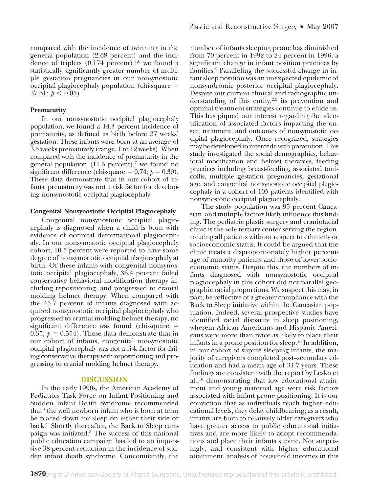compared with the incidence of twinning in the general population (2.68 percent) and the incidence of triplets  $(0.174 \text{ percent})$ ,<sup>1,6</sup> we found a statistically significantly greater number of multiple gestation pregnancies in our nonsynostotic occipital plagiocephaly population (chi-square =  $37.61; p < 0.05$ ).

#### **Prematurity**

In our nonsynostotic occipital plagiocephaly population, we found a 14.3 percent incidence of prematurity, as defined as birth before 37 weeks' gestation. These infants were born at an average of 3.5 weeks prematurely (range, 1 to 12 weeks). When compared with the incidence of prematurity in the general population  $(11.6 \text{ percent})$ ,<sup>7</sup> we found no significant difference (chi-square  $= 0.74; p = 0.39$ ). These data demonstrate that in our cohort of infants, prematurity was not a risk factor for developing nonsynostotic occipital plagiocephaly.

#### **Congenital Nonsynostotic Occipital Plagiocephaly**

Congenital nonsynostotic occipital plagiocephaly is diagnosed when a child is born with evidence of occipital deformational plagiocephaly. In our nonsynostotic occipital plagiocephaly cohort, 10.5 percent were reported to have some degree of nonsynostotic occipital plagiocephaly at birth. Of these infants with congenital nonsynostotic occipital plagiocephaly, 36.4 percent failed conservative behavioral modification therapy including repositioning, and progressed to cranial molding helmet therapy. When compared with the 45.7 percent of infants diagnosed with acquired nonsynostotic occipital plagiocephaly who progressed to cranial molding helmet therapy, no significant difference was found (chi-square  $=$ 0.35;  $p = 0.554$ ). These data demonstrate that in our cohort of infants, congenital nonsynostotic occipital plagiocephaly was not a risk factor for failing conservative therapy with repositioning and progressing to cranial molding helmet therapy.

#### **DISCUSSION**

In the early 1990s, the American Academy of Pediatrics Task Force on Infant Positioning and Sudden Infant Death Syndrome recommended that "the well newborn infant who is born at term be placed down for sleep on either their side or back." Shortly thereafter, the Back to Sleep campaign was initiated.8 The success of this national public education campaign has led to an impressive 38 percent reduction in the incidence of sudden infant death syndrome. Concomitantly, the

number of infants sleeping prone has diminished from 70 percent in 1992 to 24 percent in 1996, a significant change in infant position practices by families.9 Paralleling the successful change in infant sleep position was an unexpected epidemic of nonsyndromic posterior occipital plagiocephaly. Despite our current clinical and radiographic understanding of this entity, $2,3$  its prevention and optimal treatment strategies continue to elude us. This has piqued our interest regarding the identification of associated factors impacting the onset, treatment, and outcomes of nonsynostotic occipital plagiocephaly. Once recognized, strategies may be developed to intercede with prevention. This study investigated the social demographics, behavioral modification and helmet therapies, feeding practices including breast-feeding, associated torticollis, multiple gestation pregnancies, gestational age, and congenital nonsynostotic occipital plagiocephaly in a cohort of 105 patients identified with nonsynostotic occipital plagiocephaly.

Plastic and Reconstructive Surgery • May 2007

The study population was 95 percent Caucasian, and multiple factors likely influence this finding. The pediatric plastic surgery and craniofacial clinic is the sole tertiary center serving the region, treating all patients without respect to ethnicity or socioeconomic status. It could be argued that the clinic treats a disproportionately higher percentage of minority patients and those of lower socioeconomic status. Despite this, the numbers of infants diagnosed with nonsynostotic occipital plagiocephaly in this cohort did not parallel geographic racial proportions. We suspect this may, in part, be reflective of a greater compliance with the Back to Sleep initiative within the Caucasian population. Indeed, several prospective studies have identified racial disparity in sleep positioning, wherein African Americans and Hispanic Americans were more than twice as likely to place their infants in a prone position for sleep.<sup>10</sup> In addition, in our cohort of supine sleeping infants, the majority of caregivers completed post–secondary education and had a mean age of 31.7 years. These findings are consistent with the report by Lesko et al., $^{10}$  demonstrating that low educational attainment and young maternal age were risk factors associated with infant prone positioning. It is our conviction that as individuals reach higher educational levels, they delay childbearing; as a result, infants are born to relatively older caregivers who have greater access to public educational initiatives and are more likely to adopt recommendations and place their infants supine. Not surprisingly, and consistent with higher educational attainment, analysis of household incomes in this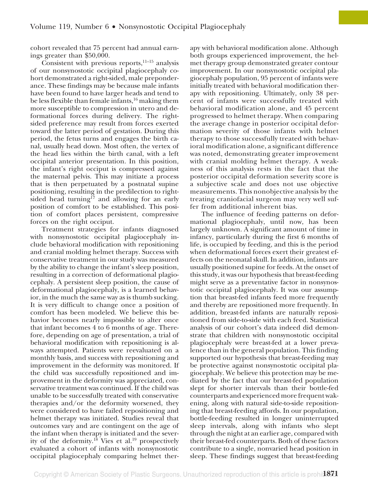cohort revealed that 75 percent had annual earnings greater than \$50,000.

Consistent with previous reports,  $11-15$  analysis of our nonsynostotic occipital plagiocephaly cohort demonstrated a right-sided, male preponderance. These findings may be because male infants have been found to have larger heads and tend to be less flexible than female infants, $16$  making them more susceptible to compression in utero and deformational forces during delivery. The rightsided preference may result from forces exerted toward the latter period of gestation. During this period, the fetus turns and engages the birth canal, usually head down. Most often, the vertex of the head lies within the birth canal, with a left occipital anterior presentation. In this position, the infant's right occiput is compressed against the maternal pelvis. This may initiate a process that is then perpetuated by a postnatal supine positioning, resulting in the predilection to rightsided head turning<sup>17</sup> and allowing for an early position of comfort to be established. This position of comfort places persistent, compressive forces on the right occiput.

Treatment strategies for infants diagnosed with nonsynostotic occipital plagiocephaly include behavioral modification with repositioning and cranial molding helmet therapy. Success with conservative treatment in our study was measured by the ability to change the infant's sleep position, resulting in a correction of deformational plagiocephaly. A persistent sleep position, the cause of deformational plagiocephaly, is a learned behavior, in the much the same way as is thumb sucking. It is very difficult to change once a position of comfort has been modeled. We believe this behavior becomes nearly impossible to alter once that infant becomes 4 to 6 months of age. Therefore, depending on age of presentation, a trial of behavioral modification with repositioning is always attempted. Patients were reevaluated on a monthly basis, and success with repositioning and improvement in the deformity was monitored. If the child was successfully repositioned and improvement in the deformity was appreciated, conservative treatment was continued. If the child was unable to be successfully treated with conservative therapies and/or the deformity worsened, they were considered to have failed repositioning and helmet therapy was initiated. Studies reveal that outcomes vary and are contingent on the age of the infant when therapy is initiated and the severity of the deformity.<sup>18</sup> Vies et al.<sup>19</sup> prospectively evaluated a cohort of infants with nonsynostotic occipital plagiocephaly comparing helmet therapy with behavioral modification alone. Although both groups experienced improvement, the helmet therapy group demonstrated greater contour improvement. In our nonsynostotic occipital plagiocephaly population, 95 percent of infants were initially treated with behavioral modification therapy with repositioning. Ultimately, only 38 percent of infants were successfully treated with behavioral modification alone, and 45 percent progressed to helmet therapy. When comparing the average change in posterior occipital deformation severity of those infants with helmet therapy to those successfully treated with behavioral modification alone, a significant difference was noted, demonstrating greater improvement with cranial molding helmet therapy. A weakness of this analysis rests in the fact that the posterior occipital deformation severity score is a subjective scale and does not use objective measurements. This nonobjective analysis by the treating craniofacial surgeon may very well suffer from additional inherent bias.

The influence of feeding patterns on deformational plagiocephaly, until now, has been largely unknown. A significant amount of time in infancy, particularly during the first 6 months of life, is occupied by feeding, and this is the period when deformational forces exert their greatest effects on the neonatal skull. In addition, infants are usually positioned supine for feeds. At the onset of this study, it was our hypothesis that breast-feeding might serve as a preventative factor in nonsynostotic occipital plagiocephaly. It was our assumption that breast-fed infants feed more frequently and thereby are repositioned more frequently. In addition, breast-fed infants are naturally repositioned from side-to-side with each feed. Statistical analysis of our cohort's data indeed did demonstrate that children with nonsynostotic occipital plagiocephaly were breast-fed at a lower prevalence than in the general population. This finding supported our hypothesis that breast-feeding may be protective against nonsynostotic occipital plagiocephaly. We believe this protection may be mediated by the fact that our breast-fed population slept for shorter intervals than their bottle-fed counterparts and experienced more frequent wakening, along with natural side-to-side repositioning that breast-feeding affords. In our population, bottle-feeding resulted in longer uninterrupted sleep intervals, along with infants who slept through the night at an earlier age, compared with their breast-fed counterparts. Both of these factors contribute to a single, nonvaried head position in sleep. These findings suggest that breast-feeding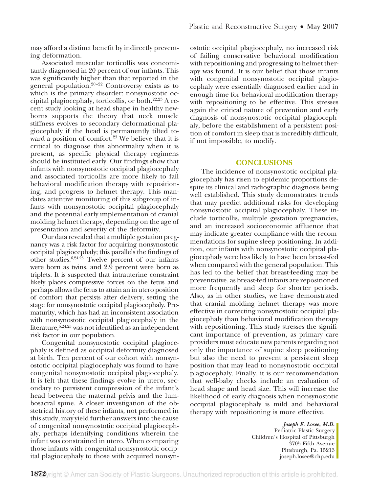may afford a distinct benefit by indirectly preventing deformation.

Associated muscular torticollis was concomitantly diagnosed in 20 percent of our infants. This was significantly higher than that reported in the general population. $20 - 22$  Controversy exists as to which is the primary disorder: nonsynostotic occipital plagiocephaly, torticollis, or both. $22,23$  A recent study looking at head shape in healthy newborns supports the theory that neck muscle stiffness evolves to secondary deformational plagiocephaly if the head is permanently tilted toward a position of comfort.<sup>23</sup> We believe that it is critical to diagnose this abnormality when it is present, as specific physical therapy regimens should be instituted early. Our findings show that infants with nonsynostotic occipital plagiocephaly and associated torticollis are more likely to fail behavioral modification therapy with repositioning, and progress to helmet therapy. This mandates attentive monitoring of this subgroup of infants with nonsynostotic occipital plagiocephaly and the potential early implementation of cranial molding helmet therapy, depending on the age of presentation and severity of the deformity.

Our data revealed that a multiple gestation pregnancy was a risk factor for acquiring nonsynostotic occipital plagiocephaly; this parallels the findings of other studies.6,24,25 Twelve percent of our infants were born as twins, and 2.9 percent were born as triplets. It is suspected that intrauterine constraint likely places compressive forces on the fetus and perhaps allows the fetus to attain an in utero position of comfort that persists after delivery, setting the stage for nonsynostotic occipital plagiocephaly. Prematurity, which has had an inconsistent association with nonsynostotic occipital plagiocephaly in the literature,  $6,24,25$  was not identified as an independent risk factor in our population.

Congenital nonsynostotic occipital plagiocephaly is defined as occipital deformity diagnosed at birth. Ten percent of our cohort with nonsynostotic occipital plagiocephaly was found to have congenital nonsynostotic occipital plagiocephaly. It is felt that these findings evolve in utero, secondary to persistent compression of the infant's head between the maternal pelvis and the lumbosacral spine. A closer investigation of the obstetrical history of these infants, not performed in this study, may yield further answers into the cause of congenital nonsynostotic occipital plagiocephaly, perhaps identifying conditions wherein the infant was constrained in utero. When comparing those infants with congenital nonsynostotic occipital plagiocephaly to those with acquired nonsynostotic occipital plagiocephaly, no increased risk of failing conservative behavioral modification with repositioning and progressing to helmet therapy was found. It is our belief that those infants with congenital nonsynostotic occipital plagiocephaly were essentially diagnosed earlier and in enough time for behavioral modification therapy with repositioning to be effective. This stresses again the critical nature of prevention and early diagnosis of nonsynostotic occipital plagiocephaly, before the establishment of a persistent position of comfort in sleep that is incredibly difficult, if not impossible, to modify.

#### **CONCLUSIONS**

The incidence of nonsynostotic occipital plagiocephaly has risen to epidemic proportions despite its clinical and radiographic diagnosis being well established. This study demonstrates trends that may predict additional risks for developing nonsynostotic occipital plagiocephaly. These include torticollis, multiple gestation pregnancies, and an increased socioeconomic affluence that may indicate greater compliance with the recommendations for supine sleep positioning. In addition, our infants with nonsynostotic occipital plagiocephaly were less likely to have been breast-fed when compared with the general population. This has led to the belief that breast-feeding may be preventative, as breast-fed infants are repositioned more frequently and sleep for shorter periods. Also, as in other studies, we have demonstrated that cranial molding helmet therapy was more effective in correcting nonsynostotic occipital plagiocephaly than behavioral modification therapy with repositioning. This study stresses the significant importance of prevention, as primary care providers must educate new parents regarding not only the importance of supine sleep positioning but also the need to prevent a persistent sleep position that may lead to nonsynostotic occipital plagiocephaly. Finally, it is our recommendation that well-baby checks include an evaluation of head shape and head size. This will increase the likelihood of early diagnosis when nonsynostotic occipital plagiocephaly is mild and behavioral therapy with repositioning is more effective.

> *Joseph E. Losee, M.D.* Pediatric Plastic Surgery Children's Hospital of Pittsburgh 3705 Fifth Avenue Pittsburgh, Pa. 15213 joseph.losee@chp.edu